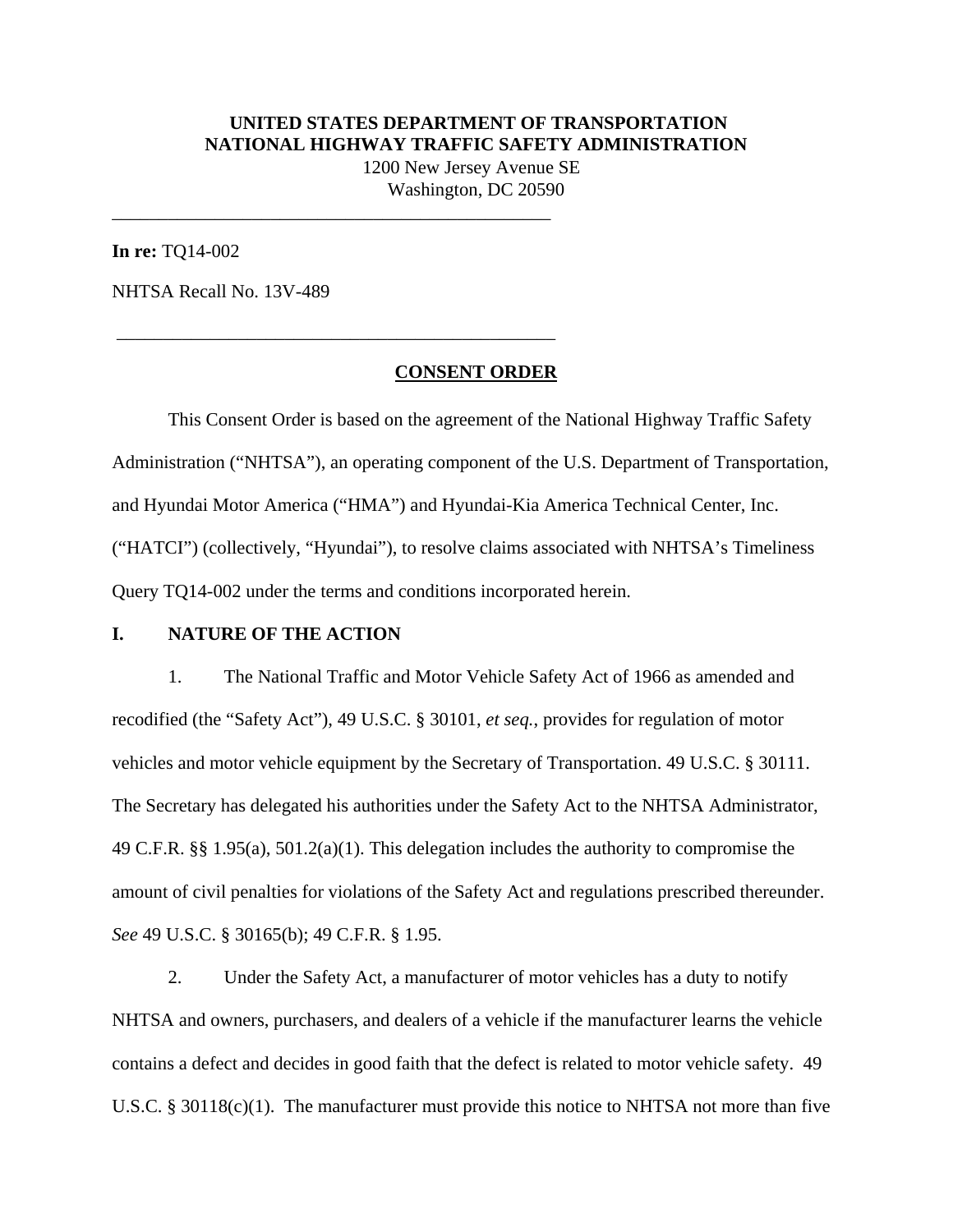## **UNITED STATES DEPARTMENT OF TRANSPORTATION NATIONAL HIGHWAY TRAFFIC SAFETY ADMINISTRATION**

1200 New Jersey Avenue SE Washington, DC 20590

**In re:** TQ14-002

NHTSA Recall No. 13V-489

\_\_\_\_\_\_\_\_\_\_\_\_\_\_\_\_\_\_\_\_\_\_\_\_\_\_\_\_\_\_\_\_\_\_\_\_\_\_\_\_\_\_\_\_\_\_\_

\_\_\_\_\_\_\_\_\_\_\_\_\_\_\_\_\_\_\_\_\_\_\_\_\_\_\_\_\_\_\_\_\_\_\_\_\_\_\_\_\_\_\_\_\_\_\_

#### **CONSENT ORDER**

 This Consent Order is based on the agreement of the National Highway Traffic Safety Administration ("NHTSA"), an operating component of the U.S. Department of Transportation, and Hyundai Motor America ("HMA") and Hyundai-Kia America Technical Center, Inc. ("HATCI") (collectively, "Hyundai"), to resolve claims associated with NHTSA's Timeliness Query TQ14-002 under the terms and conditions incorporated herein.

#### **I. NATURE OF THE ACTION**

1. The National Traffic and Motor Vehicle Safety Act of 1966 as amended and recodified (the "Safety Act"), 49 U.S.C. § 30101, *et seq.*, provides for regulation of motor vehicles and motor vehicle equipment by the Secretary of Transportation. 49 U.S.C. § 30111. The Secretary has delegated his authorities under the Safety Act to the NHTSA Administrator, 49 C.F.R. §§ 1.95(a), 501.2(a)(1). This delegation includes the authority to compromise the amount of civil penalties for violations of the Safety Act and regulations prescribed thereunder. *See* 49 U.S.C. § 30165(b); 49 C.F.R. § 1.95.

2. Under the Safety Act, a manufacturer of motor vehicles has a duty to notify NHTSA and owners, purchasers, and dealers of a vehicle if the manufacturer learns the vehicle contains a defect and decides in good faith that the defect is related to motor vehicle safety. 49 U.S.C. § 30118(c)(1). The manufacturer must provide this notice to NHTSA not more than five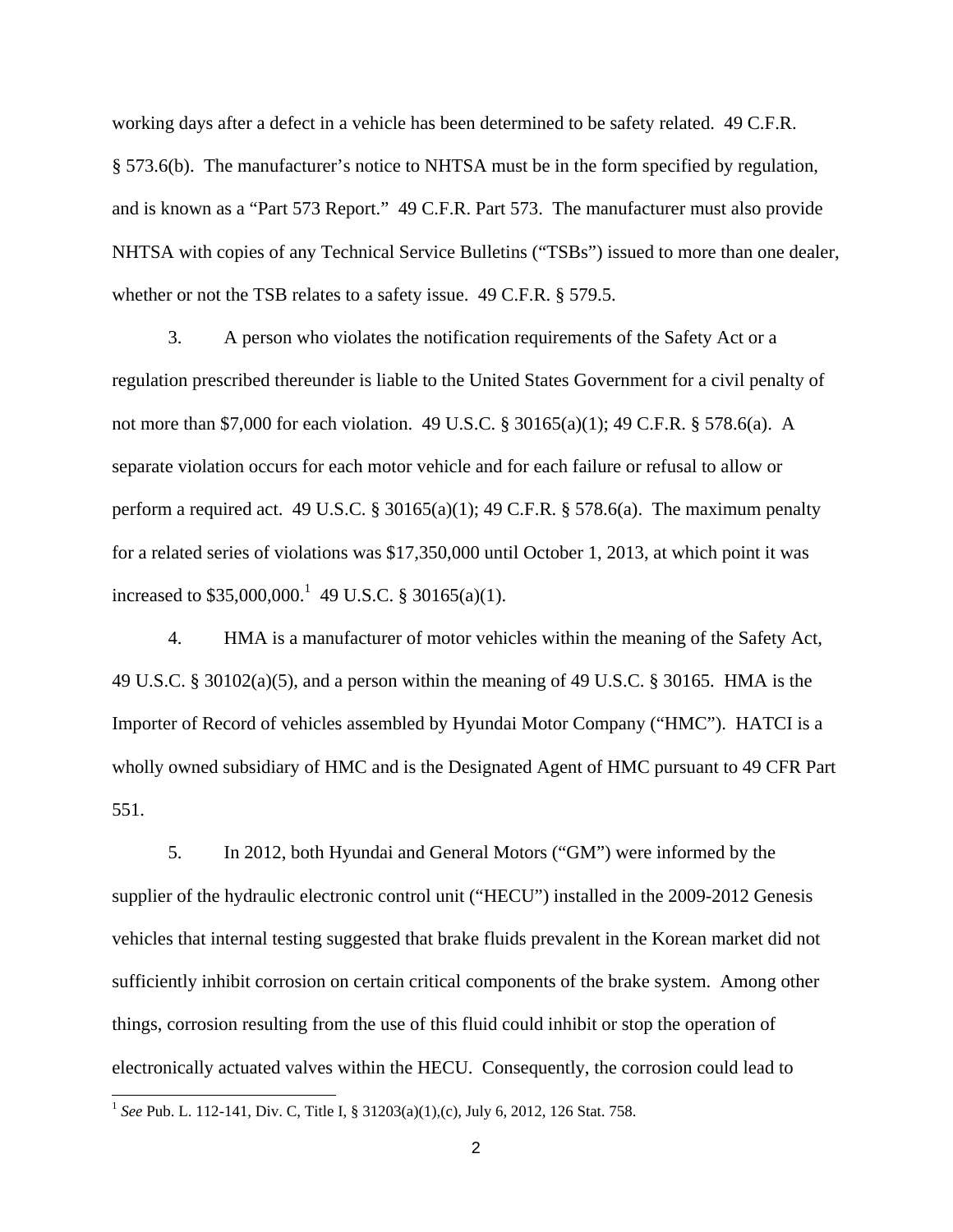working days after a defect in a vehicle has been determined to be safety related. 49 C.F.R. § 573.6(b). The manufacturer's notice to NHTSA must be in the form specified by regulation, and is known as a "Part 573 Report." 49 C.F.R. Part 573. The manufacturer must also provide NHTSA with copies of any Technical Service Bulletins ("TSBs") issued to more than one dealer, whether or not the TSB relates to a safety issue. 49 C.F.R. § 579.5.

3. A person who violates the notification requirements of the Safety Act or a regulation prescribed thereunder is liable to the United States Government for a civil penalty of not more than \$7,000 for each violation. 49 U.S.C. § 30165(a)(1); 49 C.F.R. § 578.6(a). A separate violation occurs for each motor vehicle and for each failure or refusal to allow or perform a required act. 49 U.S.C. § 30165(a)(1); 49 C.F.R. § 578.6(a). The maximum penalty for a related series of violations was \$17,350,000 until October 1, 2013, at which point it was increased to  $$35,000,000$ <sup>1</sup> 49 U.S.C. § 30165(a)(1).

4. HMA is a manufacturer of motor vehicles within the meaning of the Safety Act, 49 U.S.C. § 30102(a)(5), and a person within the meaning of 49 U.S.C. § 30165. HMA is the Importer of Record of vehicles assembled by Hyundai Motor Company ("HMC"). HATCI is a wholly owned subsidiary of HMC and is the Designated Agent of HMC pursuant to 49 CFR Part 551.

5. In 2012, both Hyundai and General Motors ("GM") were informed by the supplier of the hydraulic electronic control unit ("HECU") installed in the 2009-2012 Genesis vehicles that internal testing suggested that brake fluids prevalent in the Korean market did not sufficiently inhibit corrosion on certain critical components of the brake system. Among other things, corrosion resulting from the use of this fluid could inhibit or stop the operation of electronically actuated valves within the HECU. Consequently, the corrosion could lead to

 $\overline{a}$ 

<sup>1</sup> *See* Pub. L. 112-141, Div. C, Title I, § 31203(a)(1),(c), July 6, 2012, 126 Stat. 758.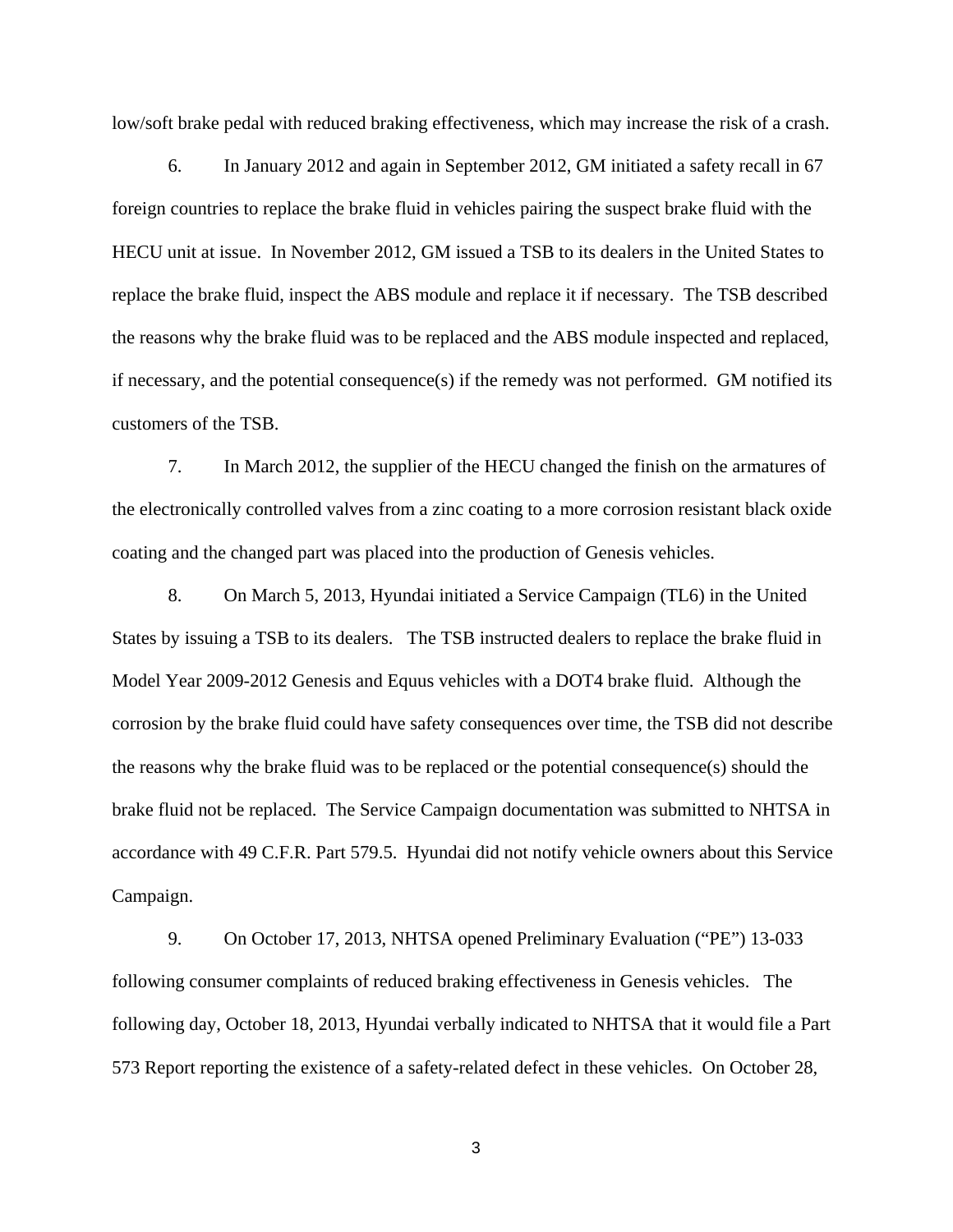low/soft brake pedal with reduced braking effectiveness, which may increase the risk of a crash.

6. In January 2012 and again in September 2012, GM initiated a safety recall in 67 foreign countries to replace the brake fluid in vehicles pairing the suspect brake fluid with the HECU unit at issue. In November 2012, GM issued a TSB to its dealers in the United States to replace the brake fluid, inspect the ABS module and replace it if necessary. The TSB described the reasons why the brake fluid was to be replaced and the ABS module inspected and replaced, if necessary, and the potential consequence(s) if the remedy was not performed. GM notified its customers of the TSB.

7. In March 2012, the supplier of the HECU changed the finish on the armatures of the electronically controlled valves from a zinc coating to a more corrosion resistant black oxide coating and the changed part was placed into the production of Genesis vehicles.

8. On March 5, 2013, Hyundai initiated a Service Campaign (TL6) in the United States by issuing a TSB to its dealers. The TSB instructed dealers to replace the brake fluid in Model Year 2009-2012 Genesis and Equus vehicles with a DOT4 brake fluid. Although the corrosion by the brake fluid could have safety consequences over time, the TSB did not describe the reasons why the brake fluid was to be replaced or the potential consequence(s) should the brake fluid not be replaced. The Service Campaign documentation was submitted to NHTSA in accordance with 49 C.F.R. Part 579.5. Hyundai did not notify vehicle owners about this Service Campaign.

9. On October 17, 2013, NHTSA opened Preliminary Evaluation ("PE") 13-033 following consumer complaints of reduced braking effectiveness in Genesis vehicles. The following day, October 18, 2013, Hyundai verbally indicated to NHTSA that it would file a Part 573 Report reporting the existence of a safety-related defect in these vehicles. On October 28,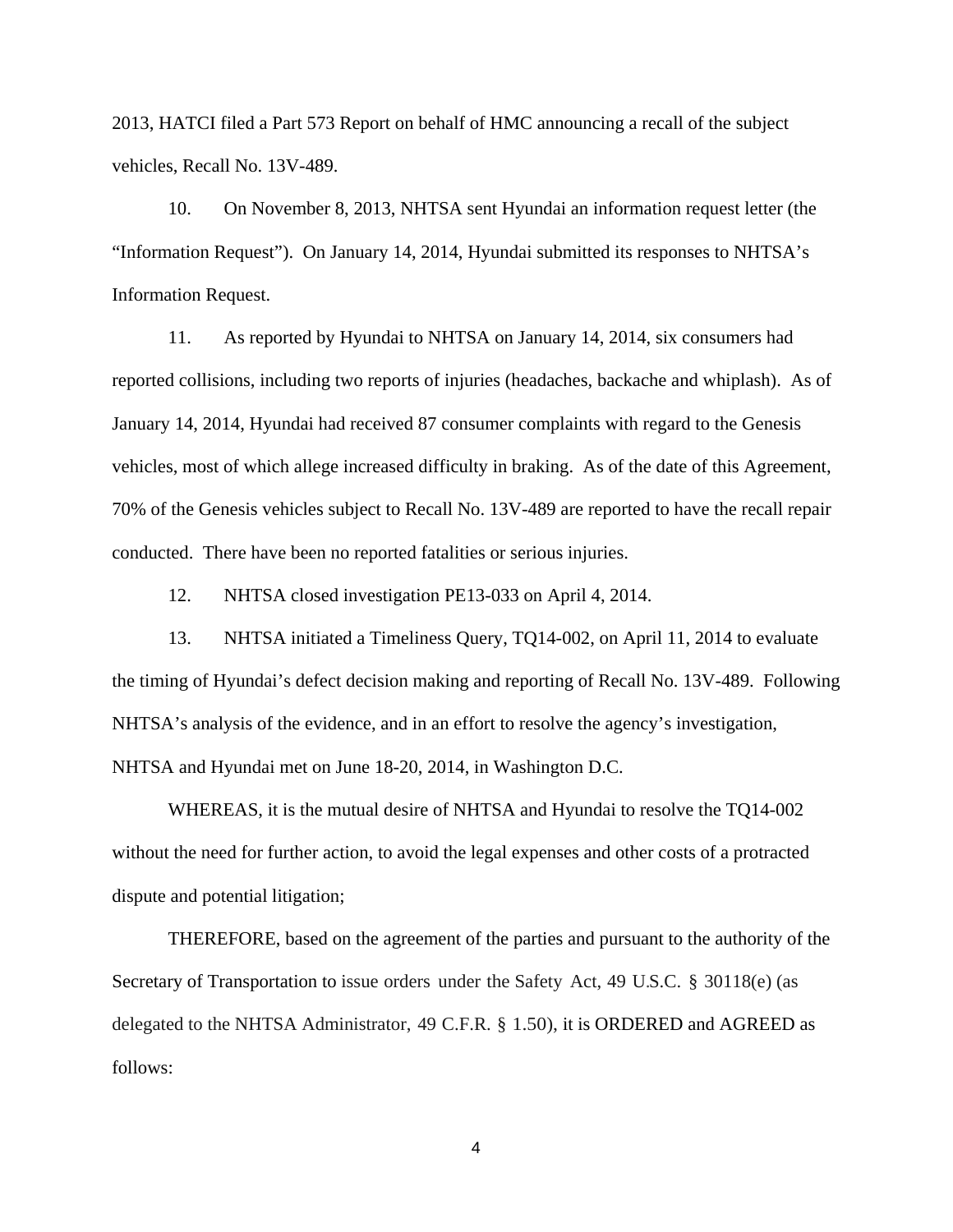2013, HATCI filed a Part 573 Report on behalf of HMC announcing a recall of the subject vehicles, Recall No. 13V-489.

10. On November 8, 2013, NHTSA sent Hyundai an information request letter (the "Information Request"). On January 14, 2014, Hyundai submitted its responses to NHTSA's Information Request.

11. As reported by Hyundai to NHTSA on January 14, 2014, six consumers had reported collisions, including two reports of injuries (headaches, backache and whiplash). As of January 14, 2014, Hyundai had received 87 consumer complaints with regard to the Genesis vehicles, most of which allege increased difficulty in braking. As of the date of this Agreement, 70% of the Genesis vehicles subject to Recall No. 13V-489 are reported to have the recall repair conducted. There have been no reported fatalities or serious injuries.

12. NHTSA closed investigation PE13-033 on April 4, 2014.

13. NHTSA initiated a Timeliness Query, TQ14-002, on April 11, 2014 to evaluate the timing of Hyundai's defect decision making and reporting of Recall No. 13V-489. Following NHTSA's analysis of the evidence, and in an effort to resolve the agency's investigation, NHTSA and Hyundai met on June 18-20, 2014, in Washington D.C.

WHEREAS, it is the mutual desire of NHTSA and Hyundai to resolve the TQ14-002 without the need for further action, to avoid the legal expenses and other costs of a protracted dispute and potential litigation;

THEREFORE, based on the agreement of the parties and pursuant to the authority of the Secretary of Transportation to issue orders under the Safety Act, 49 U.S.C. § 30118(e) (as delegated to the NHTSA Administrator, 49 C.F.R. § 1.50), it is ORDERED and AGREED as follows: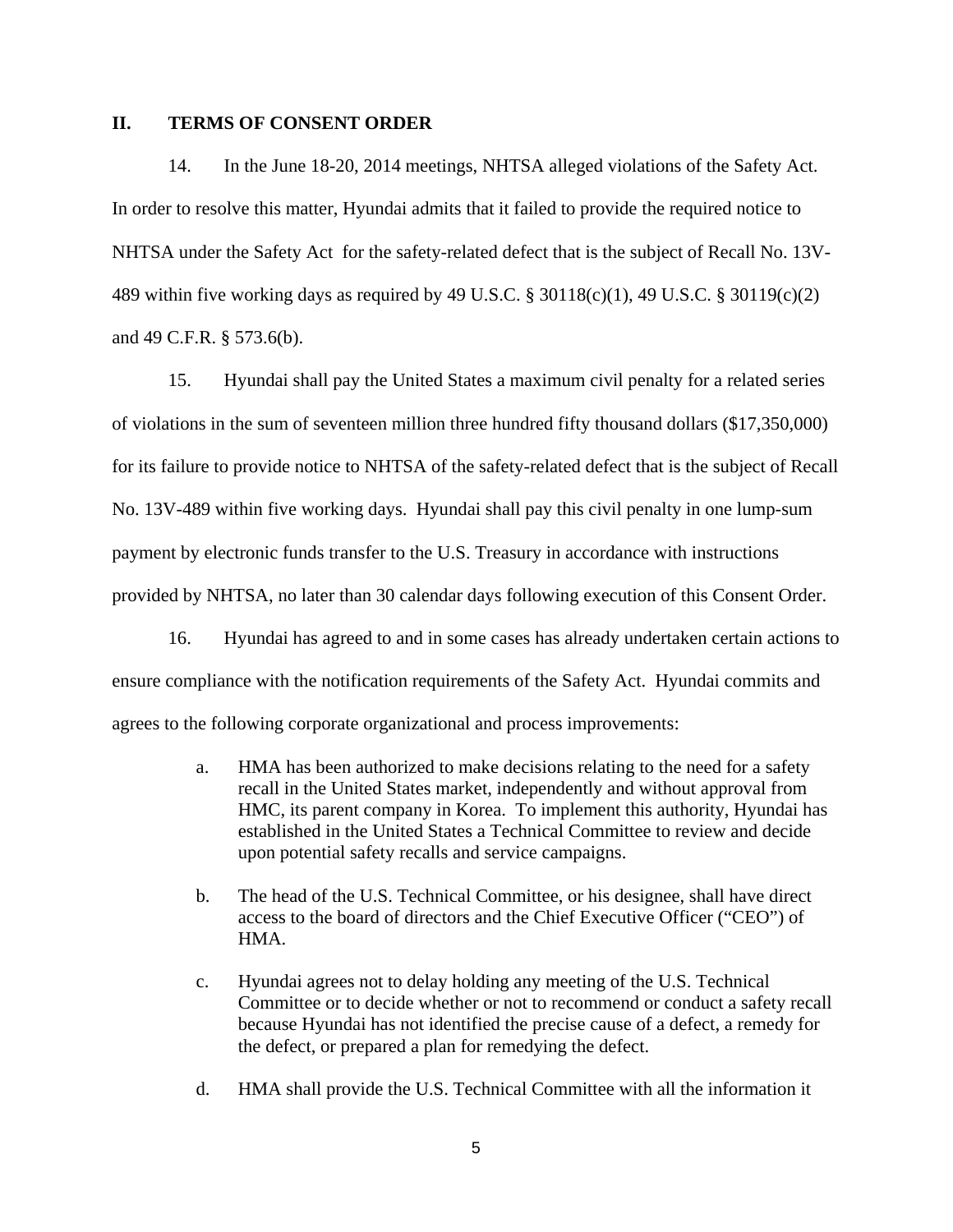### **II. TERMS OF CONSENT ORDER**

14. In the June 18-20, 2014 meetings, NHTSA alleged violations of the Safety Act. In order to resolve this matter, Hyundai admits that it failed to provide the required notice to NHTSA under the Safety Act for the safety-related defect that is the subject of Recall No. 13V-489 within five working days as required by 49 U.S.C. § 30118(c)(1), 49 U.S.C. § 30119(c)(2) and 49 C.F.R. § 573.6(b).

15. Hyundai shall pay the United States a maximum civil penalty for a related series of violations in the sum of seventeen million three hundred fifty thousand dollars (\$17,350,000) for its failure to provide notice to NHTSA of the safety-related defect that is the subject of Recall No. 13V-489 within five working days. Hyundai shall pay this civil penalty in one lump-sum payment by electronic funds transfer to the U.S. Treasury in accordance with instructions provided by NHTSA, no later than 30 calendar days following execution of this Consent Order.

16. Hyundai has agreed to and in some cases has already undertaken certain actions to ensure compliance with the notification requirements of the Safety Act. Hyundai commits and agrees to the following corporate organizational and process improvements:

- a. HMA has been authorized to make decisions relating to the need for a safety recall in the United States market, independently and without approval from HMC, its parent company in Korea. To implement this authority, Hyundai has established in the United States a Technical Committee to review and decide upon potential safety recalls and service campaigns.
- b. The head of the U.S. Technical Committee, or his designee, shall have direct access to the board of directors and the Chief Executive Officer ("CEO") of HMA.
- c. Hyundai agrees not to delay holding any meeting of the U.S. Technical Committee or to decide whether or not to recommend or conduct a safety recall because Hyundai has not identified the precise cause of a defect, a remedy for the defect, or prepared a plan for remedying the defect.
- d. HMA shall provide the U.S. Technical Committee with all the information it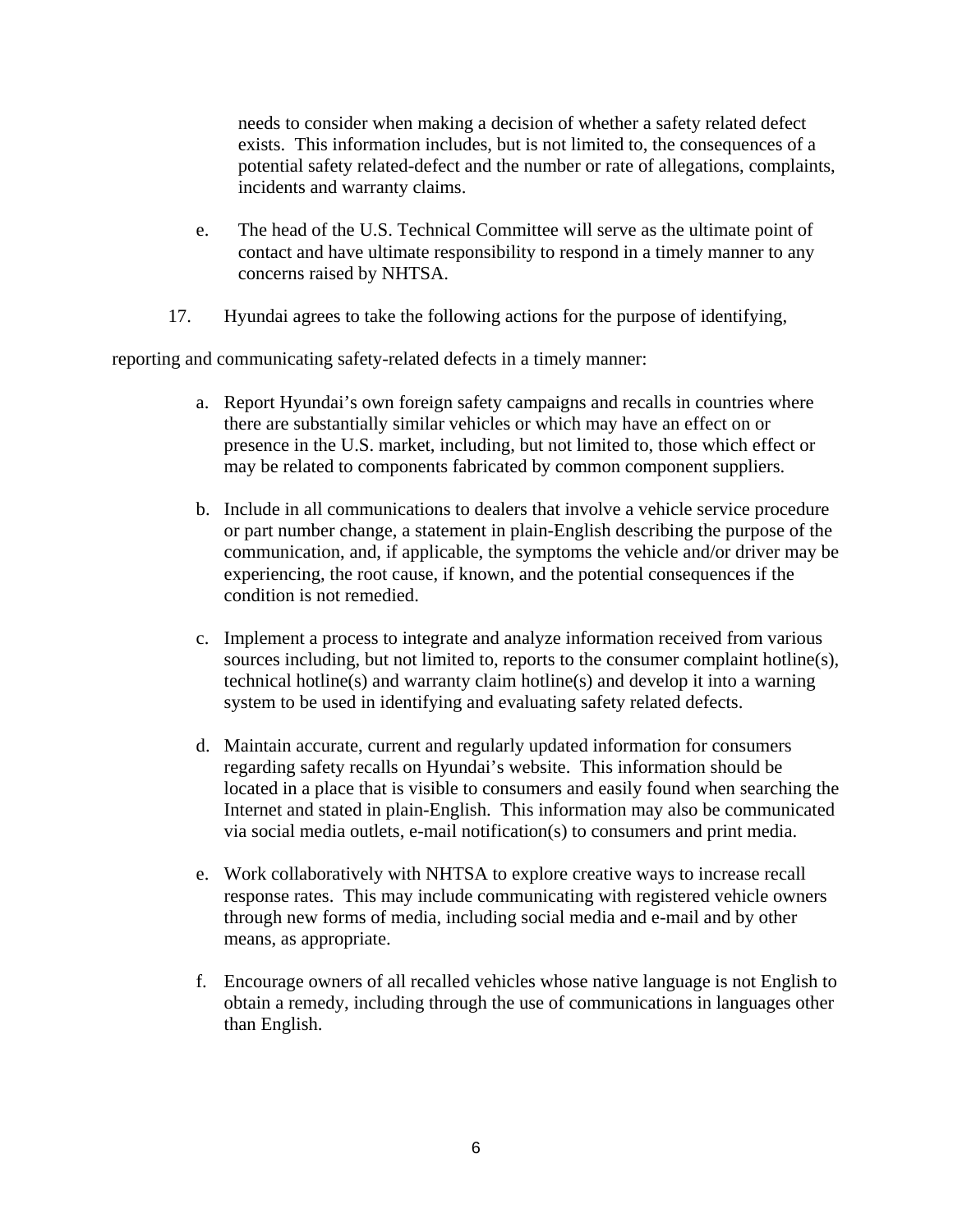needs to consider when making a decision of whether a safety related defect exists. This information includes, but is not limited to, the consequences of a potential safety related-defect and the number or rate of allegations, complaints, incidents and warranty claims.

- e. The head of the U.S. Technical Committee will serve as the ultimate point of contact and have ultimate responsibility to respond in a timely manner to any concerns raised by NHTSA.
- 17. Hyundai agrees to take the following actions for the purpose of identifying,

reporting and communicating safety-related defects in a timely manner:

- a. Report Hyundai's own foreign safety campaigns and recalls in countries where there are substantially similar vehicles or which may have an effect on or presence in the U.S. market, including, but not limited to, those which effect or may be related to components fabricated by common component suppliers.
- b. Include in all communications to dealers that involve a vehicle service procedure or part number change, a statement in plain-English describing the purpose of the communication, and, if applicable, the symptoms the vehicle and/or driver may be experiencing, the root cause, if known, and the potential consequences if the condition is not remedied.
- c. Implement a process to integrate and analyze information received from various sources including, but not limited to, reports to the consumer complaint hotline(s), technical hotline(s) and warranty claim hotline(s) and develop it into a warning system to be used in identifying and evaluating safety related defects.
- d. Maintain accurate, current and regularly updated information for consumers regarding safety recalls on Hyundai's website. This information should be located in a place that is visible to consumers and easily found when searching the Internet and stated in plain-English. This information may also be communicated via social media outlets, e-mail notification(s) to consumers and print media.
- e. Work collaboratively with NHTSA to explore creative ways to increase recall response rates. This may include communicating with registered vehicle owners through new forms of media, including social media and e-mail and by other means, as appropriate.
- f. Encourage owners of all recalled vehicles whose native language is not English to obtain a remedy, including through the use of communications in languages other than English.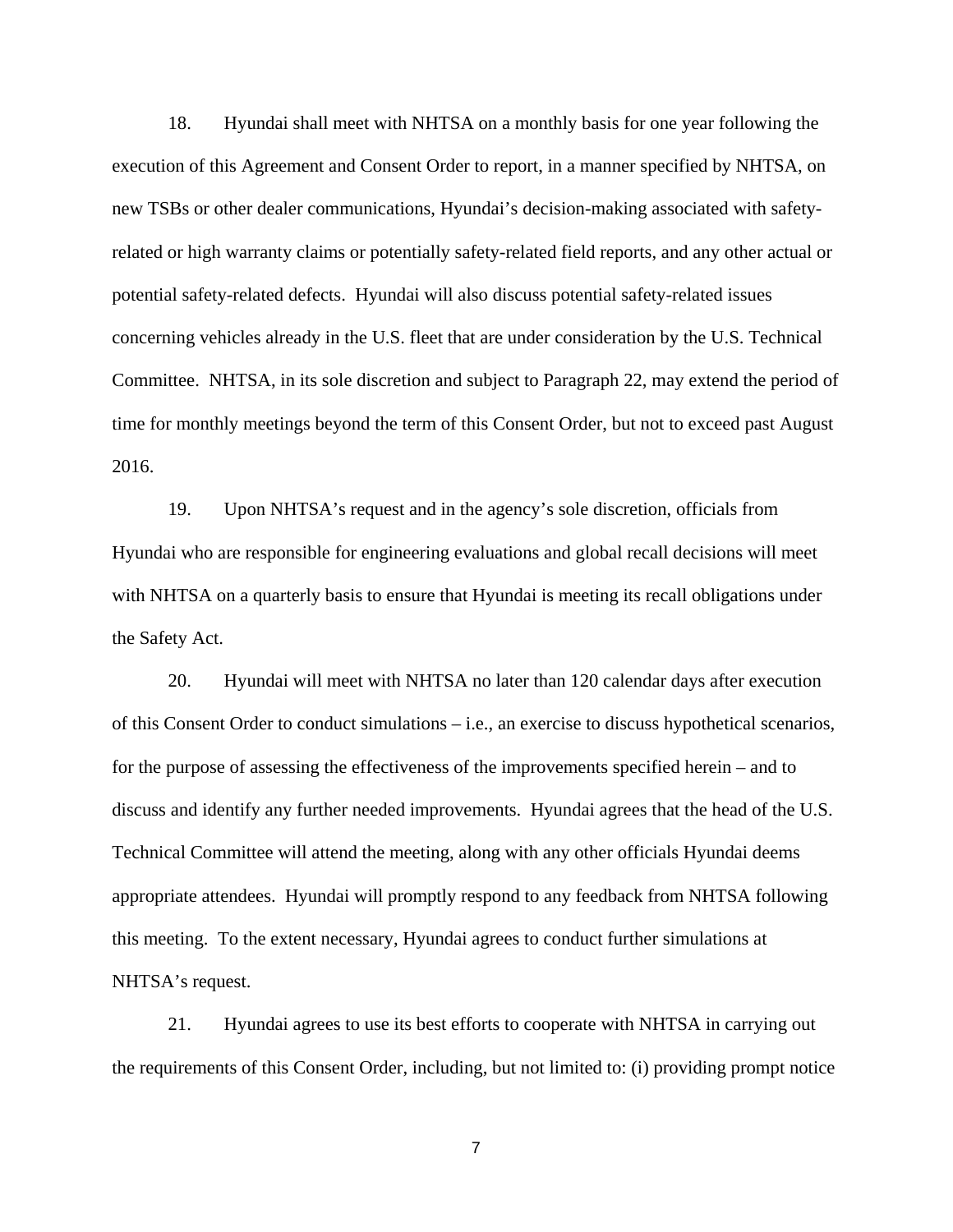18. Hyundai shall meet with NHTSA on a monthly basis for one year following the execution of this Agreement and Consent Order to report, in a manner specified by NHTSA, on new TSBs or other dealer communications, Hyundai's decision-making associated with safetyrelated or high warranty claims or potentially safety-related field reports, and any other actual or potential safety-related defects. Hyundai will also discuss potential safety-related issues concerning vehicles already in the U.S. fleet that are under consideration by the U.S. Technical Committee. NHTSA, in its sole discretion and subject to Paragraph 22, may extend the period of time for monthly meetings beyond the term of this Consent Order, but not to exceed past August 2016.

19. Upon NHTSA's request and in the agency's sole discretion, officials from Hyundai who are responsible for engineering evaluations and global recall decisions will meet with NHTSA on a quarterly basis to ensure that Hyundai is meeting its recall obligations under the Safety Act.

20. Hyundai will meet with NHTSA no later than 120 calendar days after execution of this Consent Order to conduct simulations – i.e., an exercise to discuss hypothetical scenarios, for the purpose of assessing the effectiveness of the improvements specified herein – and to discuss and identify any further needed improvements. Hyundai agrees that the head of the U.S. Technical Committee will attend the meeting, along with any other officials Hyundai deems appropriate attendees. Hyundai will promptly respond to any feedback from NHTSA following this meeting. To the extent necessary, Hyundai agrees to conduct further simulations at NHTSA's request.

21. Hyundai agrees to use its best efforts to cooperate with NHTSA in carrying out the requirements of this Consent Order, including, but not limited to: (i) providing prompt notice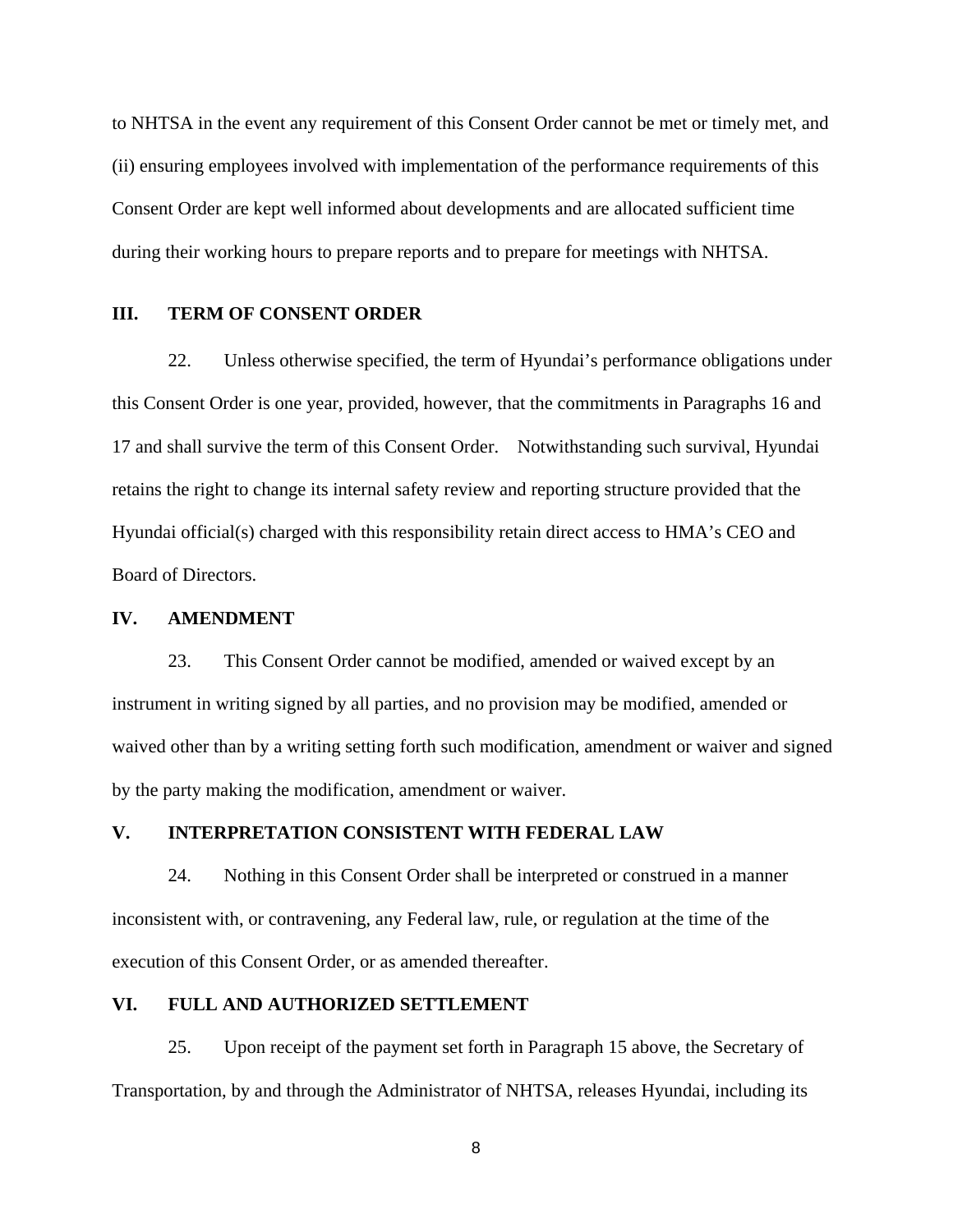to NHTSA in the event any requirement of this Consent Order cannot be met or timely met, and (ii) ensuring employees involved with implementation of the performance requirements of this Consent Order are kept well informed about developments and are allocated sufficient time during their working hours to prepare reports and to prepare for meetings with NHTSA.

#### **III. TERM OF CONSENT ORDER**

22. Unless otherwise specified, the term of Hyundai's performance obligations under this Consent Order is one year, provided, however, that the commitments in Paragraphs 16 and 17 and shall survive the term of this Consent Order. Notwithstanding such survival, Hyundai retains the right to change its internal safety review and reporting structure provided that the Hyundai official(s) charged with this responsibility retain direct access to HMA's CEO and Board of Directors.

### **IV. AMENDMENT**

23. This Consent Order cannot be modified, amended or waived except by an instrument in writing signed by all parties, and no provision may be modified, amended or waived other than by a writing setting forth such modification, amendment or waiver and signed by the party making the modification, amendment or waiver.

# **V. INTERPRETATION CONSISTENT WITH FEDERAL LAW**

24. Nothing in this Consent Order shall be interpreted or construed in a manner inconsistent with, or contravening, any Federal law, rule, or regulation at the time of the execution of this Consent Order, or as amended thereafter.

#### **VI. FULL AND AUTHORIZED SETTLEMENT**

25. Upon receipt of the payment set forth in Paragraph 15 above, the Secretary of Transportation, by and through the Administrator of NHTSA, releases Hyundai, including its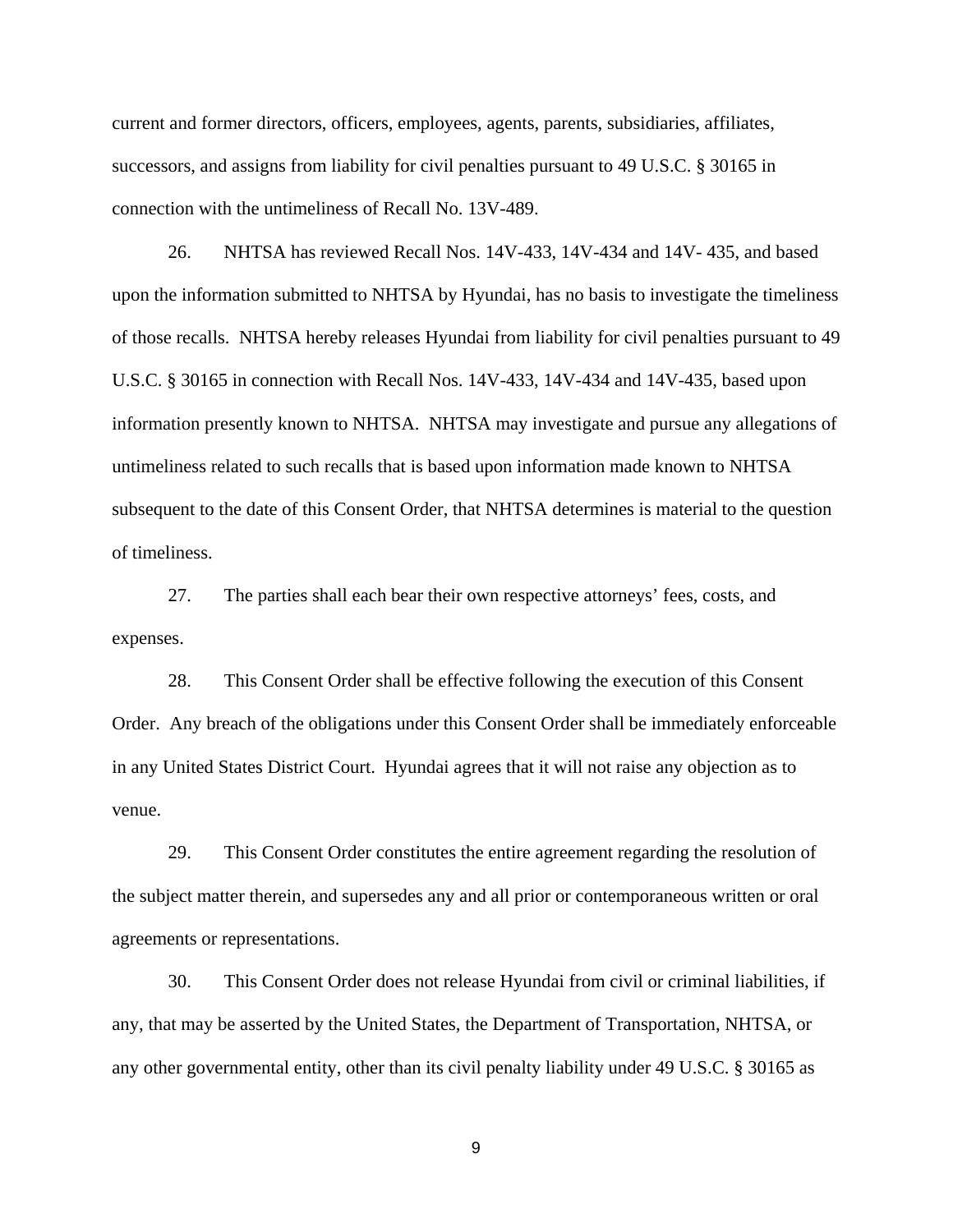current and former directors, officers, employees, agents, parents, subsidiaries, affiliates, successors, and assigns from liability for civil penalties pursuant to 49 U.S.C. § 30165 in connection with the untimeliness of Recall No. 13V-489.

26. NHTSA has reviewed Recall Nos. 14V-433, 14V-434 and 14V- 435, and based upon the information submitted to NHTSA by Hyundai, has no basis to investigate the timeliness of those recalls. NHTSA hereby releases Hyundai from liability for civil penalties pursuant to 49 U.S.C. § 30165 in connection with Recall Nos. 14V-433, 14V-434 and 14V-435, based upon information presently known to NHTSA. NHTSA may investigate and pursue any allegations of untimeliness related to such recalls that is based upon information made known to NHTSA subsequent to the date of this Consent Order, that NHTSA determines is material to the question of timeliness.

27. The parties shall each bear their own respective attorneys' fees, costs, and expenses.

28. This Consent Order shall be effective following the execution of this Consent Order. Any breach of the obligations under this Consent Order shall be immediately enforceable in any United States District Court. Hyundai agrees that it will not raise any objection as to venue.

29. This Consent Order constitutes the entire agreement regarding the resolution of the subject matter therein, and supersedes any and all prior or contemporaneous written or oral agreements or representations.

30. This Consent Order does not release Hyundai from civil or criminal liabilities, if any, that may be asserted by the United States, the Department of Transportation, NHTSA, or any other governmental entity, other than its civil penalty liability under 49 U.S.C. § 30165 as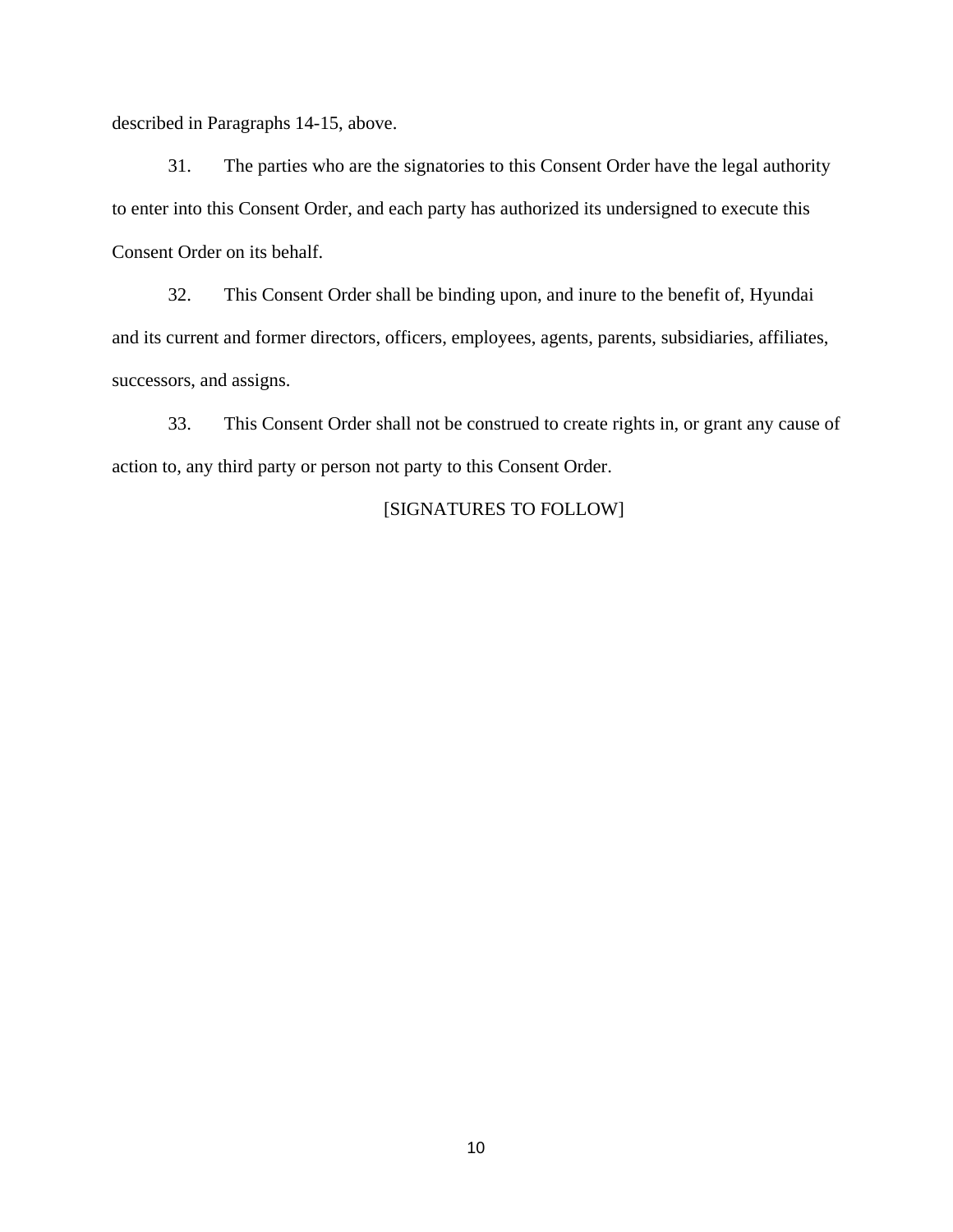described in Paragraphs 14-15, above.

31. The parties who are the signatories to this Consent Order have the legal authority to enter into this Consent Order, and each party has authorized its undersigned to execute this Consent Order on its behalf.

32. This Consent Order shall be binding upon, and inure to the benefit of, Hyundai and its current and former directors, officers, employees, agents, parents, subsidiaries, affiliates, successors, and assigns.

33. This Consent Order shall not be construed to create rights in, or grant any cause of action to, any third party or person not party to this Consent Order.

# [SIGNATURES TO FOLLOW]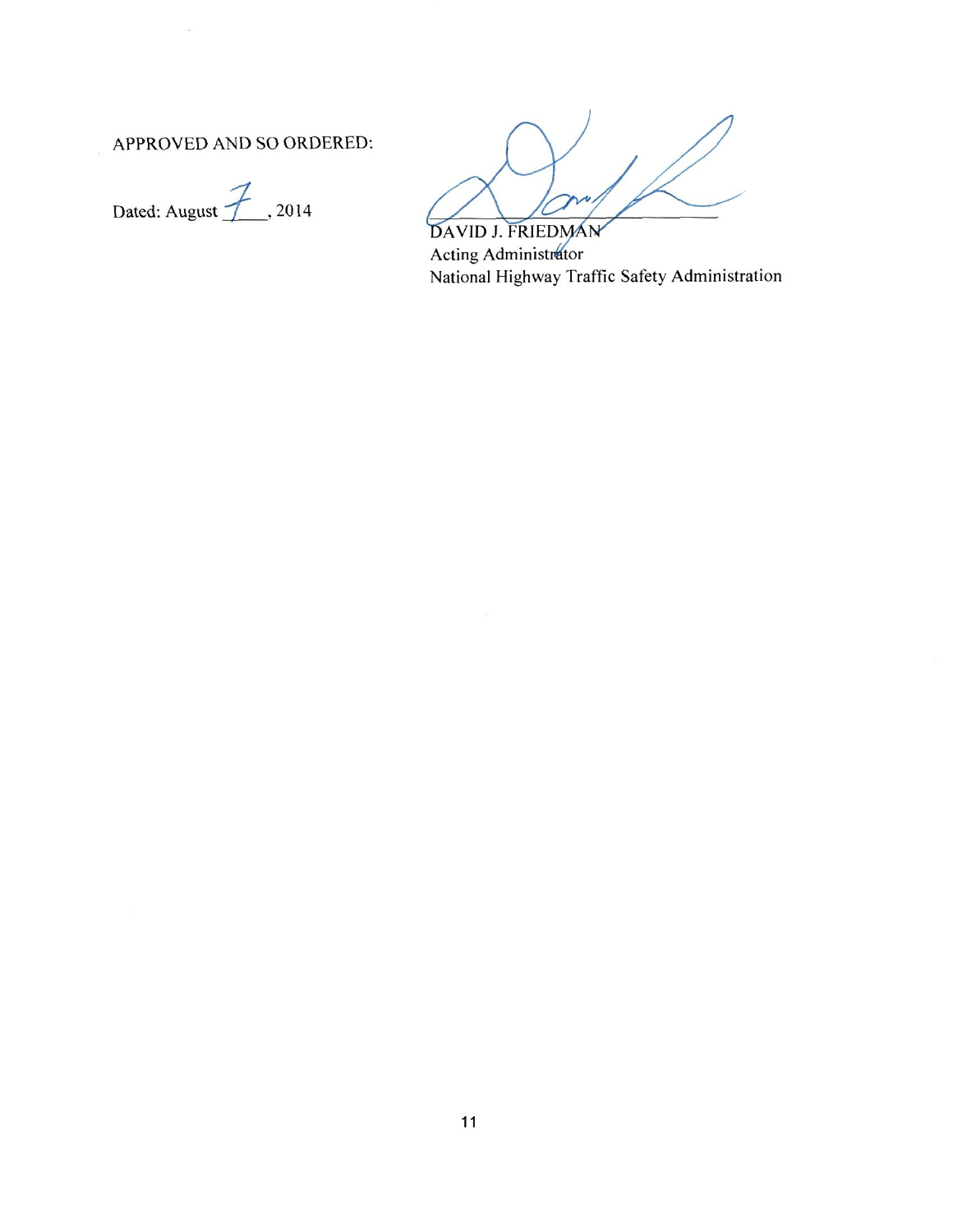APPROVED AND SO ORDERED:



DAVID J. FRIEDMAN Acting Administrator National Highway Traffic Safety Administration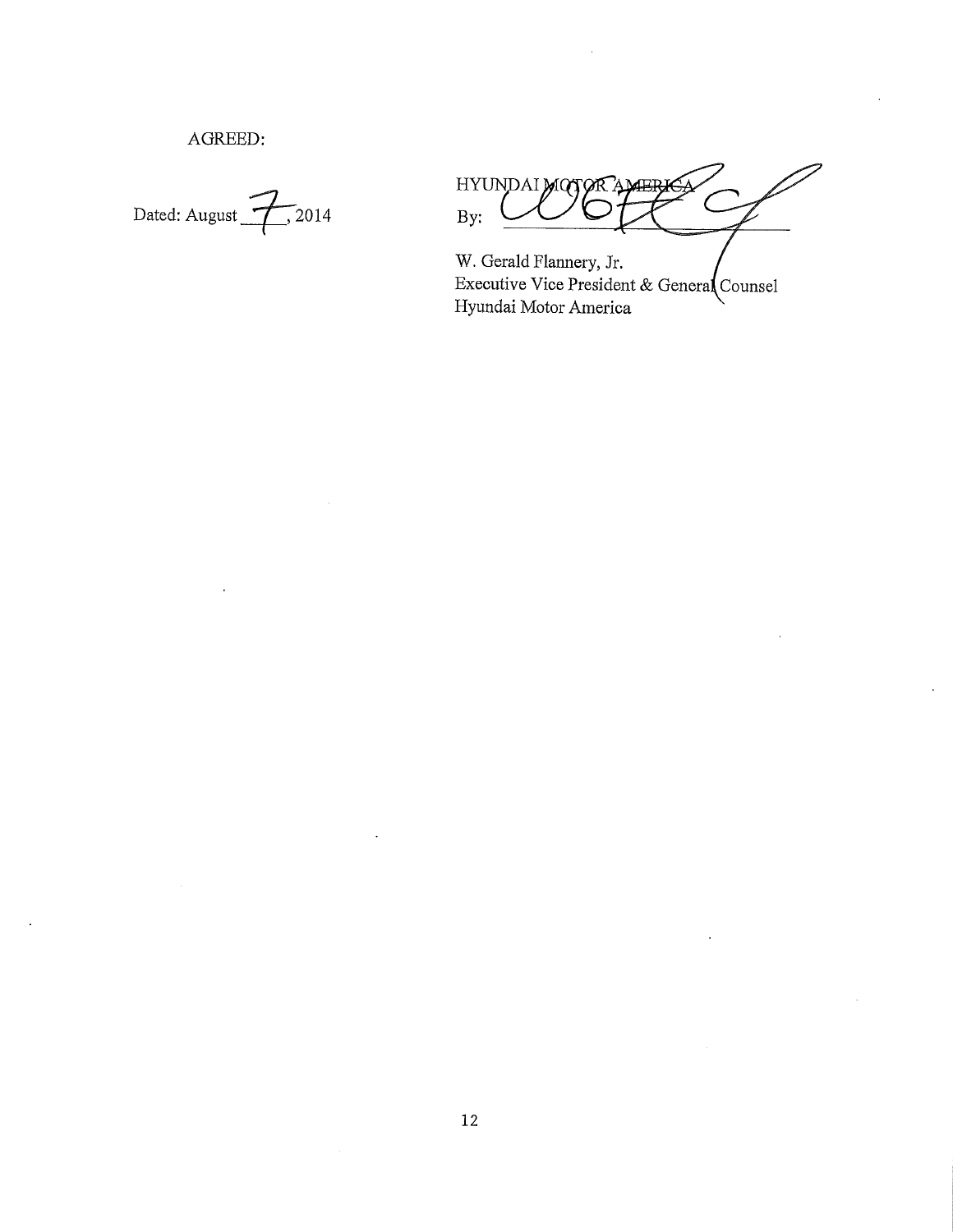AGREED:

Dated: August  $2014$ 

HYUNDAI MOTOR By:

W. Gerald Flannery, Jr. Executive Vice President & General Counsel Hyundai Motor America